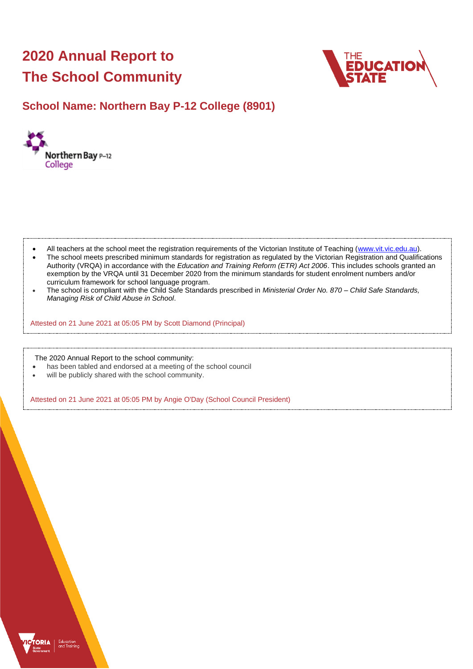# **2020 Annual Report to The School Community**



# **School Name: Northern Bay P-12 College (8901)**



- All teachers at the school meet the registration requirements of the Victorian Institute of Teaching [\(www.vit.vic.edu.au\)](https://www.vit.vic.edu.au/).
- The school meets prescribed minimum standards for registration as regulated by the Victorian Registration and Qualifications Authority (VRQA) in accordance with the *Education and Training Reform (ETR) Act 2006*. This includes schools granted an exemption by the VRQA until 31 December 2020 from the minimum standards for student enrolment numbers and/or curriculum framework for school language program.
- The school is compliant with the Child Safe Standards prescribed in *Ministerial Order No. 870 – Child Safe Standards, Managing Risk of Child Abuse in School*.

Attested on 21 June 2021 at 05:05 PM by Scott Diamond (Principal)

The 2020 Annual Report to the school community:

- has been tabled and endorsed at a meeting of the school council
- will be publicly shared with the school community.

Attested on 21 June 2021 at 05:05 PM by Angie O'Day (School Council President)

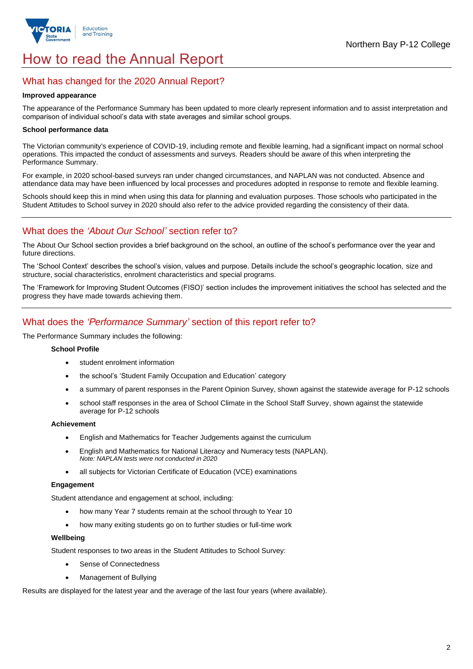

# How to read the Annual Report

## What has changed for the 2020 Annual Report?

#### **Improved appearance**

The appearance of the Performance Summary has been updated to more clearly represent information and to assist interpretation and comparison of individual school's data with state averages and similar school groups.

### **School performance data**

The Victorian community's experience of COVID-19, including remote and flexible learning, had a significant impact on normal school operations. This impacted the conduct of assessments and surveys. Readers should be aware of this when interpreting the Performance Summary.

For example, in 2020 school-based surveys ran under changed circumstances, and NAPLAN was not conducted. Absence and attendance data may have been influenced by local processes and procedures adopted in response to remote and flexible learning.

Schools should keep this in mind when using this data for planning and evaluation purposes. Those schools who participated in the Student Attitudes to School survey in 2020 should also refer to the advice provided regarding the consistency of their data.

## What does the *'About Our School'* section refer to?

The About Our School section provides a brief background on the school, an outline of the school's performance over the year and future directions.

The 'School Context' describes the school's vision, values and purpose. Details include the school's geographic location, size and structure, social characteristics, enrolment characteristics and special programs.

The 'Framework for Improving Student Outcomes (FISO)' section includes the improvement initiatives the school has selected and the progress they have made towards achieving them.

## What does the *'Performance Summary'* section of this report refer to?

The Performance Summary includes the following:

#### **School Profile**

- student enrolment information
- the school's 'Student Family Occupation and Education' category
- a summary of parent responses in the Parent Opinion Survey, shown against the statewide average for P-12 schools
- school staff responses in the area of School Climate in the School Staff Survey, shown against the statewide average for P-12 schools

### **Achievement**

- English and Mathematics for Teacher Judgements against the curriculum
- English and Mathematics for National Literacy and Numeracy tests (NAPLAN). *Note: NAPLAN tests were not conducted in 2020*
- all subjects for Victorian Certificate of Education (VCE) examinations

### **Engagement**

Student attendance and engagement at school, including:

- how many Year 7 students remain at the school through to Year 10
- how many exiting students go on to further studies or full-time work

#### **Wellbeing**

Student responses to two areas in the Student Attitudes to School Survey:

- Sense of Connectedness
- Management of Bullying

Results are displayed for the latest year and the average of the last four years (where available).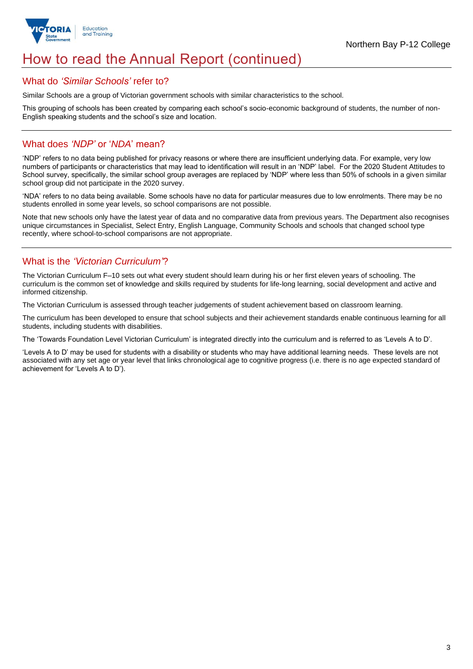

# How to read the Annual Report (continued)

### What do *'Similar Schools'* refer to?

Similar Schools are a group of Victorian government schools with similar characteristics to the school.

This grouping of schools has been created by comparing each school's socio-economic background of students, the number of non-English speaking students and the school's size and location.

## What does *'NDP'* or '*NDA*' mean?

'NDP' refers to no data being published for privacy reasons or where there are insufficient underlying data. For example, very low numbers of participants or characteristics that may lead to identification will result in an 'NDP' label. For the 2020 Student Attitudes to School survey, specifically, the similar school group averages are replaced by 'NDP' where less than 50% of schools in a given similar school group did not participate in the 2020 survey.

'NDA' refers to no data being available. Some schools have no data for particular measures due to low enrolments. There may be no students enrolled in some year levels, so school comparisons are not possible.

Note that new schools only have the latest year of data and no comparative data from previous years. The Department also recognises unique circumstances in Specialist, Select Entry, English Language, Community Schools and schools that changed school type recently, where school-to-school comparisons are not appropriate.

# What is the *'Victorian Curriculum'*?

The Victorian Curriculum F–10 sets out what every student should learn during his or her first eleven years of schooling. The curriculum is the common set of knowledge and skills required by students for life-long learning, social development and active and informed citizenship.

The Victorian Curriculum is assessed through teacher judgements of student achievement based on classroom learning.

The curriculum has been developed to ensure that school subjects and their achievement standards enable continuous learning for all students, including students with disabilities.

The 'Towards Foundation Level Victorian Curriculum' is integrated directly into the curriculum and is referred to as 'Levels A to D'.

'Levels A to D' may be used for students with a disability or students who may have additional learning needs. These levels are not associated with any set age or year level that links chronological age to cognitive progress (i.e. there is no age expected standard of achievement for 'Levels A to D').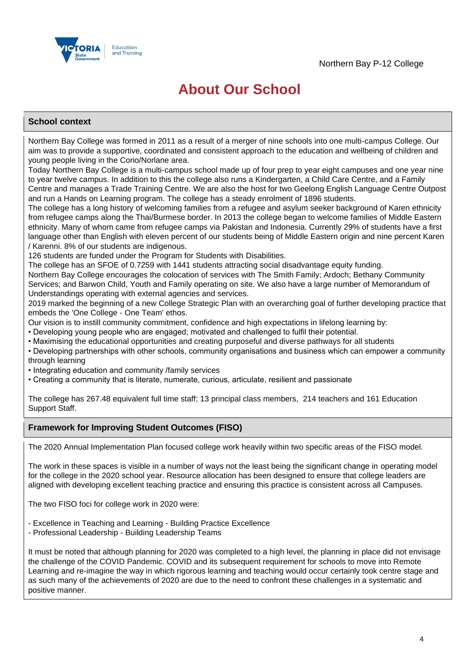

# **About Our School**

### **School context**

Northern Bay College was formed in 2011 as a result of a merger of nine schools into one multi-campus College. Our aim was to provide a supportive, coordinated and consistent approach to the education and wellbeing of children and young people living in the Corio/Norlane area.

Today Northern Bay College is a multi-campus school made up of four prep to year eight campuses and one year nine to year twelve campus. In addition to this the college also runs a Kindergarten, a Child Care Centre, and a Family Centre and manages a Trade Training Centre. We are also the host for two Geelong English Language Centre Outpost and run a Hands on Learning program. The college has a steady enrolment of 1896 students.

The college has a long history of welcoming families from a refugee and asylum seeker background of Karen ethnicity from refugee camps along the Thai/Burmese border. In 2013 the college began to welcome families of Middle Eastern ethnicity. Many of whom came from refugee camps via Pakistan and Indonesia. Currently 29% of students have a first language other than English with eleven percent of our students being of Middle Eastern origin and nine percent Karen / Karenni. 8% of our students are indigenous.

126 students are funded under the Program for Students with Disabilities.

The college has an SFOE of 0.7259 with 1441 students attracting social disadvantage equity funding.

Northern Bay College encourages the colocation of services with The Smith Family; Ardoch; Bethany Community Services; and Barwon Child, Youth and Family operating on site. We also have a large number of Memorandum of Understandings operating with external agencies and services.

2019 marked the beginning of a new College Strategic Plan with an overarching goal of further developing practice that embeds the 'One College - One Team' ethos.

Our vision is to instill community commitment, confidence and high expectations in lifelong learning by:

• Developing young people who are engaged; motivated and challenged to fulfil their potential.

• Maximising the educational opportunities and creating purposeful and diverse pathways for all students

- Developing partnerships with other schools, community organisations and business which can empower a community through learning
- Integrating education and community /family services
- Creating a community that is literate, numerate, curious, articulate, resilient and passionate

The college has 267.48 equivalent full time staff; 13 principal class members, 214 teachers and 161 Education Support Staff.

## **Framework for Improving Student Outcomes (FISO)**

The 2020 Annual Implementation Plan focused college work heavily within two specific areas of the FISO model.

The work in these spaces is visible in a number of ways not the least being the significant change in operating model for the college in the 2020 school year. Resource allocation has been designed to ensure that college leaders are aligned with developing excellent teaching practice and ensuring this practice is consistent across all Campuses.

The two FISO foci for college work in 2020 were:

- Excellence in Teaching and Learning Building Practice Excellence
- Professional Leadership Building Leadership Teams

It must be noted that although planning for 2020 was completed to a high level, the planning in place did not envisage the challenge of the COVID Pandemic. COVID and its subsequent requirement for schools to move into Remote Learning and re-imagine the way in which rigorous learning and teaching would occur certainly took centre stage and as such many of the achievements of 2020 are due to the need to confront these challenges in a systematic and positive manner.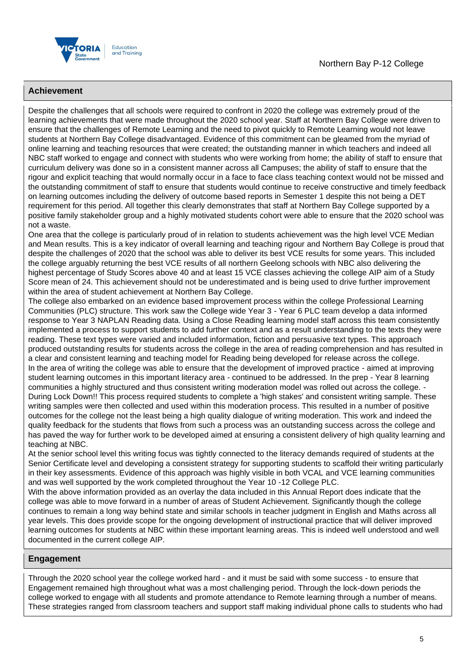



### **Achievement**

Despite the challenges that all schools were required to confront in 2020 the college was extremely proud of the learning achievements that were made throughout the 2020 school year. Staff at Northern Bay College were driven to ensure that the challenges of Remote Learning and the need to pivot quickly to Remote Learning would not leave students at Northern Bay College disadvantaged. Evidence of this commitment can be gleamed from the myriad of online learning and teaching resources that were created; the outstanding manner in which teachers and indeed all NBC staff worked to engage and connect with students who were working from home; the ability of staff to ensure that curriculum delivery was done so in a consistent manner across all Campuses; the ability of staff to ensure that the rigour and explicit teaching that would normally occur in a face to face class teaching context would not be missed and the outstanding commitment of staff to ensure that students would continue to receive constructive and timely feedback on learning outcomes including the delivery of outcome based reports in Semester 1 despite this not being a DET requirement for this period. All together this clearly demonstrates that staff at Northern Bay College supported by a positive family stakeholder group and a highly motivated students cohort were able to ensure that the 2020 school was not a waste.

One area that the college is particularly proud of in relation to students achievement was the high level VCE Median and Mean results. This is a key indicator of overall learning and teaching rigour and Northern Bay College is proud that despite the challenges of 2020 that the school was able to deliver its best VCE results for some years. This included the college arguably returning the best VCE results of all northern Geelong schools with NBC also delivering the highest percentage of Study Scores above 40 and at least 15 VCE classes achieving the college AIP aim of a Study Score mean of 24. This achievement should not be underestimated and is being used to drive further improvement within the area of student achievement at Northern Bay College.

The college also embarked on an evidence based improvement process within the college Professional Learning Communities (PLC) structure. This work saw the College wide Year 3 - Year 6 PLC team develop a data informed response to Year 3 NAPLAN Reading data. Using a Close Reading learning model staff across this team consistently implemented a process to support students to add further context and as a result understanding to the texts they were reading. These text types were varied and included information, fiction and persuasive text types. This approach produced outstanding results for students across the college in the area of reading comprehension and has resulted in a clear and consistent learning and teaching model for Reading being developed for release across the college. In the area of writing the college was able to ensure that the development of improved practice - aimed at improving student learning outcomes in this important literacy area - continued to be addressed. In the prep - Year 8 learning communities a highly structured and thus consistent writing moderation model was rolled out across the college. - During Lock Down!! This process required students to complete a 'high stakes' and consistent writing sample. These writing samples were then collected and used within this moderation process. This resulted in a number of positive outcomes for the college not the least being a high quality dialogue of writing moderation. This work and indeed the quality feedback for the students that flows from such a process was an outstanding success across the college and has paved the way for further work to be developed aimed at ensuring a consistent delivery of high quality learning and teaching at NBC.

At the senior school level this writing focus was tightly connected to the literacy demands required of students at the Senior Certificate level and developing a consistent strategy for supporting students to scaffold their writing particularly in their key assessments. Evidence of this approach was highly visible in both VCAL and VCE learning communities and was well supported by the work completed throughout the Year 10 -12 College PLC.

With the above information provided as an overlay the data included in this Annual Report does indicate that the college was able to move forward in a number of areas of Student Achievement. Significantly though the college continues to remain a long way behind state and similar schools in teacher judgment in English and Maths across all year levels. This does provide scope for the ongoing development of instructional practice that will deliver improved learning outcomes for students at NBC within these important learning areas. This is indeed well understood and well documented in the current college AIP.

### **Engagement**

Through the 2020 school year the college worked hard - and it must be said with some success - to ensure that Engagement remained high throughout what was a most challenging period. Through the lock-down periods the college worked to engage with all students and promote attendance to Remote learning through a number of means. These strategies ranged from classroom teachers and support staff making individual phone calls to students who had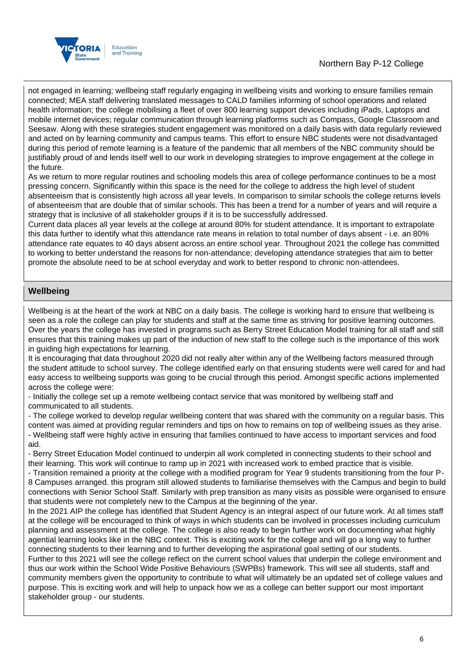

## Northern Bay P-12 College

not engaged in learning; wellbeing staff regularly engaging in wellbeing visits and working to ensure families remain connected; MEA staff delivering translated messages to CALD families informing of school operations and related health information; the college mobilising a fleet of over 800 learning support devices including iPads, Laptops and mobile internet devices; regular communication through learning platforms such as Compass, Google Classroom and Seesaw. Along with these strategies student engagement was monitored on a daily basis with data regularly reviewed and acted on by learning community and campus teams. This effort to ensure NBC students were not disadvantaged during this period of remote learning is a feature of the pandemic that all members of the NBC community should be justifiably proud of and lends itself well to our work in developing strategies to improve engagement at the college in the future.

As we return to more regular routines and schooling models this area of college performance continues to be a most pressing concern. Significantly within this space is the need for the college to address the high level of student absenteeism that is consistently high across all year levels. In comparison to similar schools the college returns levels of absenteeism that are double that of similar schools. This has been a trend for a number of years and will require a strategy that is inclusive of all stakeholder groups if it is to be successfully addressed.

Current data places all year levels at the college at around 80% for student attendance. It is important to extrapolate this data further to identify what this attendance rate means in relation to total number of days absent - i.e. an 80% attendance rate equates to 40 days absent across an entire school year. Throughout 2021 the college has committed to working to better understand the reasons for non-attendance; developing attendance strategies that aim to better promote the absolute need to be at school everyday and work to better respond to chronic non-attendees.

### **Wellbeing**

Wellbeing is at the heart of the work at NBC on a daily basis. The college is working hard to ensure that wellbeing is seen as a role the college can play for students and staff at the same time as striving for positive learning outcomes. Over the years the college has invested in programs such as Berry Street Education Model training for all staff and still ensures that this training makes up part of the induction of new staff to the college such is the importance of this work in guiding high expectations for learning.

It is encouraging that data throughout 2020 did not really alter within any of the Wellbeing factors measured through the student attitude to school survey. The college identified early on that ensuring students were well cared for and had easy access to wellbeing supports was going to be crucial through this period. Amongst specific actions implemented across the college were:

- Initially the college set up a remote wellbeing contact service that was monitored by wellbeing staff and communicated to all students.

- The college worked to develop regular wellbeing content that was shared with the community on a regular basis. This content was aimed at providing regular reminders and tips on how to remains on top of wellbeing issues as they arise. - Wellbeing staff were highly active in ensuring that families continued to have access to important services and food aid.

- Berry Street Education Model continued to underpin all work completed in connecting students to their school and their learning. This work will continue to ramp up in 2021 with increased work to embed practice that is visible.

- Transition remained a priority at the college with a modified program for Year 9 students transitioning from the four P-8 Campuses arranged. this program still allowed students to familiarise themselves with the Campus and begin to build connections with Senior School Staff. Similarly with prep transition as many visits as possible were organised to ensure that students were not completely new to the Campus at the beginning of the year.

In the 2021 AIP the college has identified that Student Agency is an integral aspect of our future work. At all times staff at the college will be encouraged to think of ways in which students can be involved in processes including curriculum planning and assessment at the college. The college is also ready to begin further work on documenting what highly agential learning looks like in the NBC context. This is exciting work for the college and will go a long way to further connecting students to their learning and to further developing the aspirational goal setting of our students.

Further to this 2021 will see the college reflect on the current school values that underpin the college environment and thus our work within the School Wide Positive Behaviours (SWPBs) framework. This will see all students, staff and community members given the opportunity to contribute to what will ultimately be an updated set of college values and purpose. This is exciting work and will help to unpack how we as a college can better support our most important stakeholder group - our students.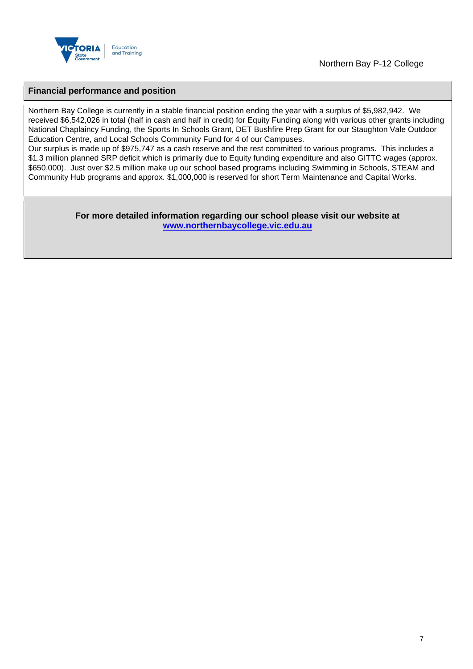

### **Financial performance and position**

Northern Bay College is currently in a stable financial position ending the year with a surplus of \$5,982,942. We received \$6,542,026 in total (half in cash and half in credit) for Equity Funding along with various other grants including National Chaplaincy Funding, the Sports In Schools Grant, DET Bushfire Prep Grant for our Staughton Vale Outdoor Education Centre, and Local Schools Community Fund for 4 of our Campuses.

Our surplus is made up of \$975,747 as a cash reserve and the rest committed to various programs. This includes a \$1.3 million planned SRP deficit which is primarily due to Equity funding expenditure and also GITTC wages (approx. \$650,000). Just over \$2.5 million make up our school based programs including Swimming in Schools, STEAM and Community Hub programs and approx. \$1,000,000 is reserved for short Term Maintenance and Capital Works.

### **For more detailed information regarding our school please visit our website at <www.northernbaycollege.vic.edu.au>**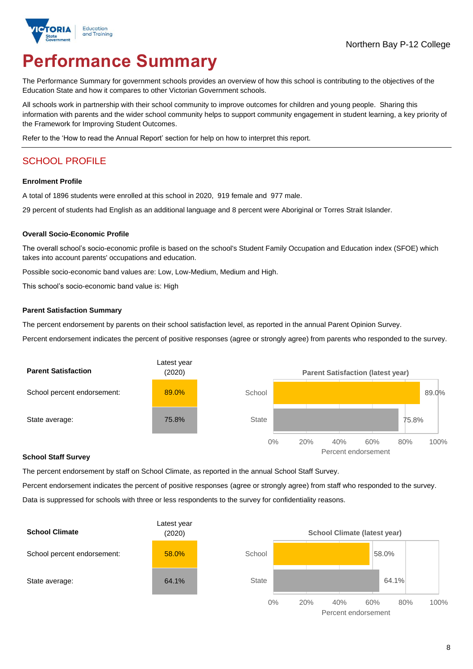

# **Performance Summary**

The Performance Summary for government schools provides an overview of how this school is contributing to the objectives of the Education State and how it compares to other Victorian Government schools.

All schools work in partnership with their school community to improve outcomes for children and young people. Sharing this information with parents and the wider school community helps to support community engagement in student learning, a key priority of the Framework for Improving Student Outcomes.

Refer to the 'How to read the Annual Report' section for help on how to interpret this report.

# SCHOOL PROFILE

#### **Enrolment Profile**

A total of 1896 students were enrolled at this school in 2020, 919 female and 977 male.

29 percent of students had English as an additional language and 8 percent were Aboriginal or Torres Strait Islander.

### **Overall Socio-Economic Profile**

The overall school's socio-economic profile is based on the school's Student Family Occupation and Education index (SFOE) which takes into account parents' occupations and education.

Possible socio-economic band values are: Low, Low-Medium, Medium and High.

This school's socio-economic band value is: High

#### **Parent Satisfaction Summary**

The percent endorsement by parents on their school satisfaction level, as reported in the annual Parent Opinion Survey.

Percent endorsement indicates the percent of positive responses (agree or strongly agree) from parents who responded to the survey.



#### **School Staff Survey**

The percent endorsement by staff on School Climate, as reported in the annual School Staff Survey.

Percent endorsement indicates the percent of positive responses (agree or strongly agree) from staff who responded to the survey. Data is suppressed for schools with three or less respondents to the survey for confidentiality reasons.



Percent endorsement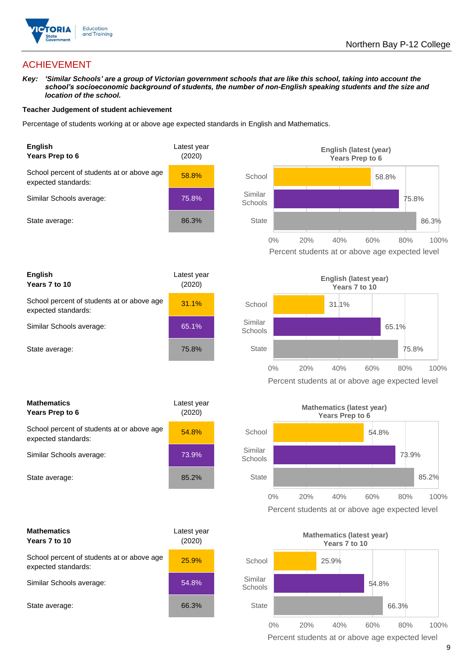

# ACHIEVEMENT

*Key: 'Similar Schools' are a group of Victorian government schools that are like this school, taking into account the school's socioeconomic background of students, the number of non-English speaking students and the size and location of the school.*

### **Teacher Judgement of student achievement**

Percentage of students working at or above age expected standards in English and Mathematics.



| <b>English</b><br>Years 7 to 10                                   | Latest year<br>(2020) |
|-------------------------------------------------------------------|-----------------------|
| School percent of students at or above age<br>expected standards: | 31.1%                 |
| Similar Schools average:                                          | 65.1%                 |
| State average:                                                    | 75.8%                 |

| <b>Mathematics</b><br>Years Prep to 6                             | Latest year<br>(2020) |  |
|-------------------------------------------------------------------|-----------------------|--|
| School percent of students at or above age<br>expected standards: | 54.8%                 |  |
| Similar Schools average:                                          | 73.9%                 |  |
| State average:                                                    | 85.2%                 |  |

| <b>Mathematics</b><br>Years 7 to 10                               | Latest year<br>(2020) |  |
|-------------------------------------------------------------------|-----------------------|--|
| School percent of students at or above age<br>expected standards: | 25.9%                 |  |
| Similar Schools average:                                          | 54.8%                 |  |
| State average:                                                    | 66.3%                 |  |





Percent students at or above age expected level



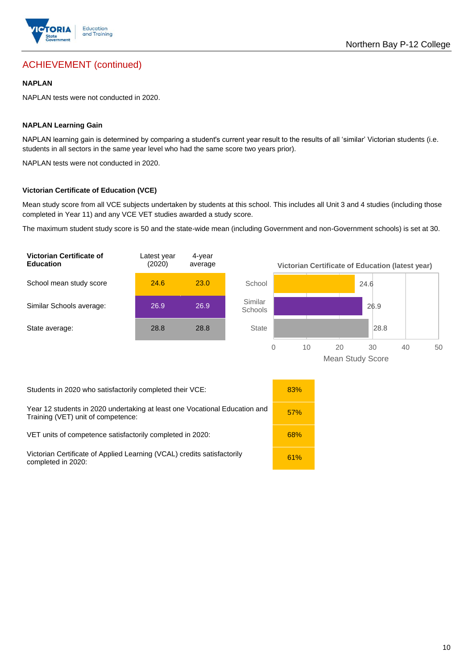

# ACHIEVEMENT (continued)

### **NAPLAN**

NAPLAN tests were not conducted in 2020.

### **NAPLAN Learning Gain**

NAPLAN learning gain is determined by comparing a student's current year result to the results of all 'similar' Victorian students (i.e. students in all sectors in the same year level who had the same score two years prior).

NAPLAN tests were not conducted in 2020.

### **Victorian Certificate of Education (VCE)**

Mean study score from all VCE subjects undertaken by students at this school. This includes all Unit 3 and 4 studies (including those completed in Year 11) and any VCE VET studies awarded a study score.

The maximum student study score is 50 and the state-wide mean (including Government and non-Government schools) is set at 30.



Mean Study Score

Students in 2020 who satisfactorily completed their VCE: 83%

Year 12 students in 2020 undertaking at least one Vocational Education and **1986**<br>Training (VET) unit of competence:

VET units of competence satisfactorily completed in 2020: 68%

Victorian Certificate of Applied Learning (VCAL) credits satisfactorily **1996** 61%<br>completed in 2020:

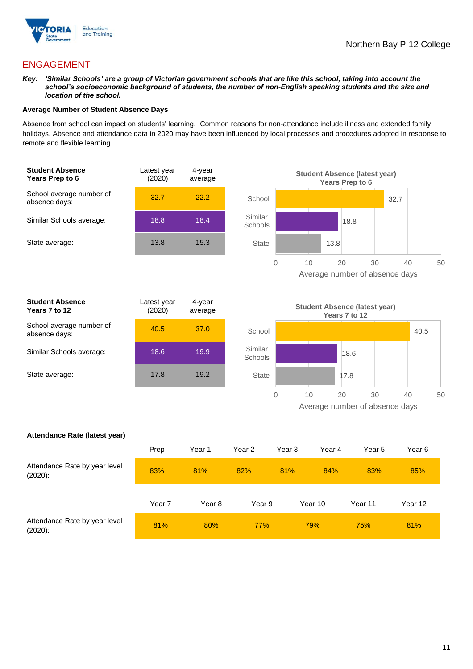

# ENGAGEMENT

*Key: 'Similar Schools' are a group of Victorian government schools that are like this school, taking into account the school's socioeconomic background of students, the number of non-English speaking students and the size and location of the school.*

### **Average Number of Student Absence Days**

Absence from school can impact on students' learning. Common reasons for non-attendance include illness and extended family holidays. Absence and attendance data in 2020 may have been influenced by local processes and procedures adopted in response to remote and flexible learning.



| <b>Student Absence</b><br>Years 7 to 12   | Latest year<br>(2020) | 4-year<br>average |
|-------------------------------------------|-----------------------|-------------------|
| School average number of<br>absence days: | 40.5                  | 37.0              |
| Similar Schools average:                  | 18.6                  | 19.9              |
| State average:                            | 17.8                  | 19.2              |





0 10 20 30 40 50 Average number of absence days

### **Attendance Rate (latest year)**

|                                             | Prep   | Year 1 | Year 2     | Year 3 | Year 4  | Year 5  | Year 6  |
|---------------------------------------------|--------|--------|------------|--------|---------|---------|---------|
| Attendance Rate by year level<br>$(2020)$ : | 83%    | 81%    | 82%        | 81%    | 84%     | 83%     | 85%     |
|                                             | Year 7 | Year 8 | Year 9     |        | Year 10 | Year 11 | Year 12 |
| Attendance Rate by year level<br>$(2020)$ : | 81%    | 80%    | <b>77%</b> |        | 79%     | 75%     | 81%     |

**State**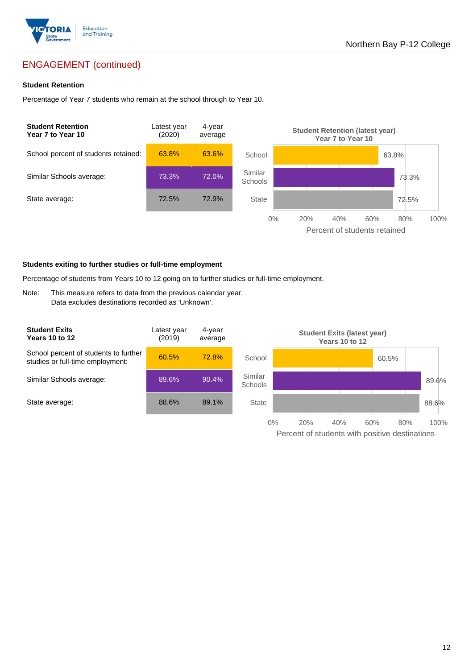

# ENGAGEMENT (continued)

### **Student Retention**

Percentage of Year 7 students who remain at the school through to Year 10.



#### **Students exiting to further studies or full-time employment**

Percentage of students from Years 10 to 12 going on to further studies or full-time employment.

Note: This measure refers to data from the previous calendar year. Data excludes destinations recorded as 'Unknown'.

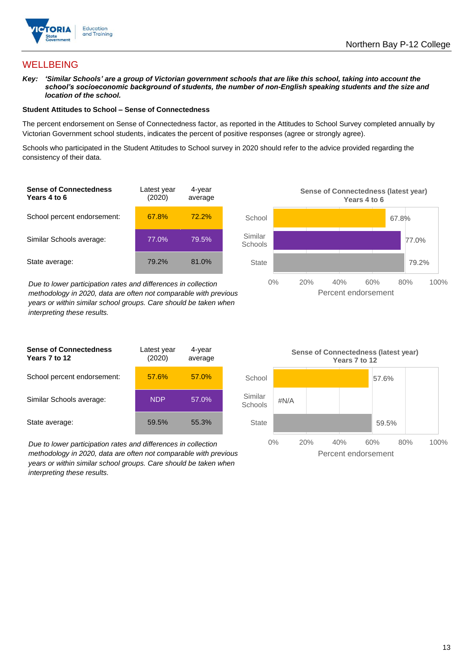

## **WELLBEING**

*Key: 'Similar Schools' are a group of Victorian government schools that are like this school, taking into account the school's socioeconomic background of students, the number of non-English speaking students and the size and location of the school.*

### **Student Attitudes to School – Sense of Connectedness**

The percent endorsement on Sense of Connectedness factor, as reported in the Attitudes to School Survey completed annually by Victorian Government school students, indicates the percent of positive responses (agree or strongly agree).

Schools who participated in the Student Attitudes to School survey in 2020 should refer to the advice provided regarding the consistency of their data.

| <b>Sense of Connectedness</b><br>Years 4 to 6 | Latest year<br>(2020) | 4-year<br>average |  |
|-----------------------------------------------|-----------------------|-------------------|--|
| School percent endorsement:                   | 67.8%                 | 72.2%             |  |
| Similar Schools average:                      | 77.0%                 | 79.5%             |  |
| State average:                                | 79.2%                 | 81.0%             |  |

*Due to lower participation rates and differences in collection methodology in 2020, data are often not comparable with previous years or within similar school groups. Care should be taken when interpreting these results.*

| <b>Sense of Connectedness</b><br>Years 7 to 12 | Latest year<br>(2020) | 4-year<br>average |
|------------------------------------------------|-----------------------|-------------------|
| School percent endorsement:                    | 57.6%                 | 57.0%             |
| Similar Schools average:                       | <b>NDP</b>            | 57.0%             |
| State average:                                 | 59.5%                 | 55.3%             |

*Due to lower participation rates and differences in collection methodology in 2020, data are often not comparable with previous years or within similar school groups. Care should be taken when interpreting these results.*



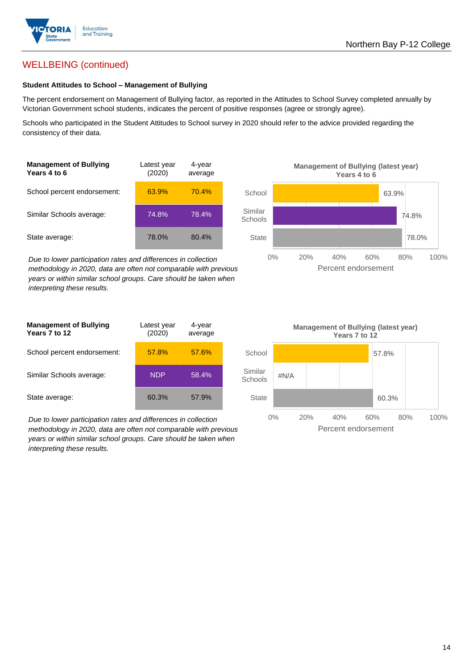

# WELLBEING (continued)

### **Student Attitudes to School – Management of Bullying**

The percent endorsement on Management of Bullying factor, as reported in the Attitudes to School Survey completed annually by Victorian Government school students, indicates the percent of positive responses (agree or strongly agree).

Schools who participated in the Student Attitudes to School survey in 2020 should refer to the advice provided regarding the consistency of their data.

| <b>Management of Bullying</b><br>Years 4 to 6 | Latest year<br>(2020) | 4-year<br>average |  |
|-----------------------------------------------|-----------------------|-------------------|--|
| School percent endorsement:                   | 63.9%                 | 70.4%             |  |
| Similar Schools average:                      | 74.8%                 | 78.4%             |  |
| State average:                                | 78.0%                 | 80.4%             |  |

*Due to lower participation rates and differences in collection methodology in 2020, data are often not comparable with previous years or within similar school groups. Care should be taken when interpreting these results.*



| <b>Management of Bullying</b><br>Years 7 to 12 | Latest year<br>(2020) | 4-year<br>average |  |
|------------------------------------------------|-----------------------|-------------------|--|
| School percent endorsement:                    | 57.8%                 | 57.6%             |  |
| Similar Schools average:                       | <b>NDP</b>            | 58.4%             |  |
| State average:                                 | 60.3%                 | 57.9%             |  |

*Due to lower participation rates and differences in collection methodology in 2020, data are often not comparable with previous years or within similar school groups. Care should be taken when interpreting these results.*

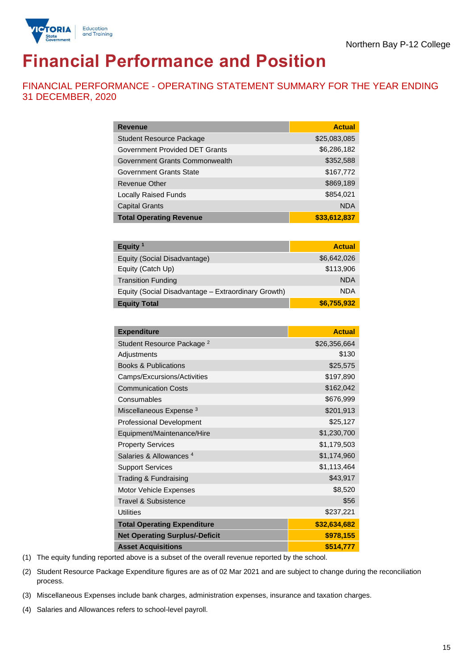

# **Financial Performance and Position**

FINANCIAL PERFORMANCE - OPERATING STATEMENT SUMMARY FOR THE YEAR ENDING 31 DECEMBER, 2020

| <b>Revenue</b>                  | <b>Actual</b> |
|---------------------------------|---------------|
| <b>Student Resource Package</b> | \$25,083,085  |
| Government Provided DET Grants  | \$6,286,182   |
| Government Grants Commonwealth  | \$352,588     |
| Government Grants State         | \$167,772     |
| <b>Revenue Other</b>            | \$869,189     |
| <b>Locally Raised Funds</b>     | \$854,021     |
| <b>Capital Grants</b>           | <b>NDA</b>    |
| <b>Total Operating Revenue</b>  | \$33,612,837  |

| Equity <sup>1</sup>                                 | <b>Actual</b> |
|-----------------------------------------------------|---------------|
| Equity (Social Disadvantage)                        | \$6,642,026   |
| Equity (Catch Up)                                   | \$113,906     |
| <b>Transition Funding</b>                           | <b>NDA</b>    |
| Equity (Social Disadvantage - Extraordinary Growth) | <b>NDA</b>    |
| <b>Equity Total</b>                                 | \$6,755,932   |

| <b>Expenditure</b>                    | <b>Actual</b> |
|---------------------------------------|---------------|
| Student Resource Package <sup>2</sup> | \$26,356,664  |
| Adjustments                           | \$130         |
| <b>Books &amp; Publications</b>       | \$25,575      |
| Camps/Excursions/Activities           | \$197,890     |
| <b>Communication Costs</b>            | \$162,042     |
| Consumables                           | \$676,999     |
| Miscellaneous Expense <sup>3</sup>    | \$201,913     |
| <b>Professional Development</b>       | \$25,127      |
| Equipment/Maintenance/Hire            | \$1,230,700   |
| <b>Property Services</b>              | \$1,179,503   |
| Salaries & Allowances <sup>4</sup>    | \$1,174,960   |
| <b>Support Services</b>               | \$1,113,464   |
| Trading & Fundraising                 | \$43,917      |
| Motor Vehicle Expenses                | \$8,520       |
| Travel & Subsistence                  | \$56          |
| <b>Utilities</b>                      | \$237,221     |
| <b>Total Operating Expenditure</b>    | \$32,634,682  |
| <b>Net Operating Surplus/-Deficit</b> | \$978,155     |
| <b>Asset Acquisitions</b>             | \$514,777     |

(1) The equity funding reported above is a subset of the overall revenue reported by the school.

(2) Student Resource Package Expenditure figures are as of 02 Mar 2021 and are subject to change during the reconciliation process.

(3) Miscellaneous Expenses include bank charges, administration expenses, insurance and taxation charges.

(4) Salaries and Allowances refers to school-level payroll.